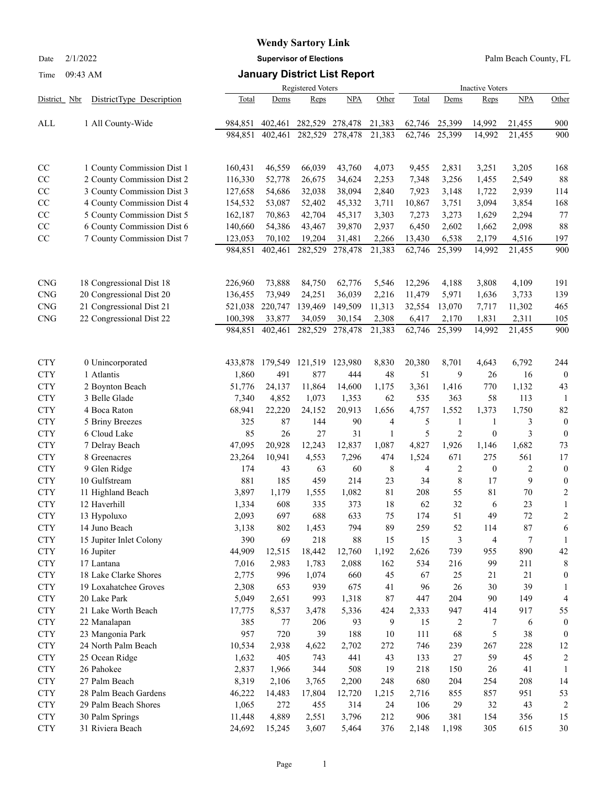## **Wendy Sartory Link**

Date 2/1/2022 **Supervisor of Elections** Palm Beach County, FL

#### Time 09:43 AM **January District List Report**

|                          |                                         |                 | Registered Voters |                |              |           |            |                     | <b>Inactive Voters</b> |                     |                         |  |  |  |
|--------------------------|-----------------------------------------|-----------------|-------------------|----------------|--------------|-----------|------------|---------------------|------------------------|---------------------|-------------------------|--|--|--|
| District Nbr             | DistrictType Description                | Total           | Dems              | Reps           | NPA          | Other     | Total      | Dems                | Reps                   | <b>NPA</b>          | Other                   |  |  |  |
| ALL                      | 1 All County-Wide                       | 984,851         | 402,461           | 282,529        | 278,478      | 21,383    | 62,746     | 25,399              | 14,992                 | 21,455              | 900                     |  |  |  |
|                          |                                         | 984,851         | 402,461           | 282,529        | 278,478      | 21,383    | 62,746     | 25,399              | 14,992                 | 21,455              | 900                     |  |  |  |
| CC                       | 1 County Commission Dist 1              | 160,431         | 46,559            | 66,039         | 43,760       | 4,073     | 9,455      | 2,831               | 3,251                  | 3,205               | 168                     |  |  |  |
| CC                       | 2 County Commission Dist 2              | 116,330         | 52,778            | 26,675         | 34,624       | 2,253     | 7,348      | 3,256               | 1,455                  | 2,549               | 88                      |  |  |  |
| CC                       | 3 County Commission Dist 3              | 127,658         | 54,686            | 32,038         | 38,094       | 2,840     | 7,923      | 3,148               | 1,722                  | 2,939               | 114                     |  |  |  |
| CC                       | 4 County Commission Dist 4              | 154,532         | 53,087            | 52,402         | 45,332       | 3,711     | 10,867     | 3,751               | 3,094                  | 3,854               | 168                     |  |  |  |
| CC                       | 5 County Commission Dist 5              | 162,187         | 70,863            | 42,704         | 45,317       | 3,303     | 7,273      | 3,273               | 1,629                  | 2,294               | 77                      |  |  |  |
| CC                       | 6 County Commission Dist 6              | 140,660         | 54,386            | 43,467         | 39,870       | 2,937     | 6,450      | 2,602               | 1,662                  | 2,098               | 88                      |  |  |  |
| CC                       | 7 County Commission Dist 7              | 123,053         | 70,102            | 19,204         | 31,481       | 2,266     | 13,430     | 6,538               | 2,179                  | 4,516               | 197                     |  |  |  |
|                          |                                         | 984,851         | 402,461           | 282,529        | 278,478      | 21,383    | 62,746     | 25,399              | 14,992                 | 21,455              | 900                     |  |  |  |
| <b>CNG</b>               | 18 Congressional Dist 18                | 226,960         | 73,888            | 84,750         | 62,776       | 5,546     | 12,296     | 4,188               | 3,808                  | 4,109               | 191                     |  |  |  |
| <b>CNG</b>               | 20 Congressional Dist 20                | 136,455         | 73,949            | 24,251         | 36,039       | 2,216     | 11,479     | 5,971               | 1,636                  | 3,733               | 139                     |  |  |  |
| <b>CNG</b>               | 21 Congressional Dist 21                | 521,038         | 220,747           | 139,469        | 149,509      | 11,313    | 32,554     | 13,070              | 7,717                  | 11,302              | 465                     |  |  |  |
| <b>CNG</b>               | 22 Congressional Dist 22                | 100,398         | 33,877            | 34,059         | 30,154       | 2,308     | 6,417      | 2,170               | 1,831                  | 2,311               | 105                     |  |  |  |
|                          |                                         | 984,851         | 402,461           | 282,529        | 278,478      | 21,383    | 62,746     | 25,399              | 14,992                 | 21,455              | 900                     |  |  |  |
| <b>CTY</b>               | 0 Unincorporated                        | 433,878         | 179,549           | 121,519        | 123,980      | 8,830     | 20,380     | 8,701               | 4,643                  | 6,792               | 244                     |  |  |  |
| <b>CTY</b>               | 1 Atlantis                              | 1,860           | 491               | 877            | 444          | 48        | 51         | 9                   | 26                     | 16                  | $\overline{0}$          |  |  |  |
| <b>CTY</b>               | 2 Boynton Beach                         | 51,776          | 24,137            | 11,864         | 14,600       | 1,175     | 3,361      | 1,416               | 770                    | 1,132               | 43                      |  |  |  |
| <b>CTY</b>               | 3 Belle Glade                           | 7,340           | 4,852             | 1,073          | 1,353        | 62        | 535        | 363                 | 58                     | 113                 | -1                      |  |  |  |
| <b>CTY</b>               | 4 Boca Raton                            | 68,941          | 22,220            | 24,152         | 20,913       | 1,656     | 4,757      | 1,552               | 1,373                  | 1,750               | 82                      |  |  |  |
| <b>CTY</b>               | 5 Briny Breezes                         | 325             | 87                | 144            | 90           | 4         | 5          | 1                   | 1                      | 3                   | $\theta$                |  |  |  |
| <b>CTY</b>               | 6 Cloud Lake                            | 85              | 26                | 27             | 31           | 1         | 5          | $\overline{2}$      | $\boldsymbol{0}$       | 3                   | $\overline{0}$          |  |  |  |
| <b>CTY</b>               | 7 Delray Beach                          | 47,095          | 20,928            | 12,243         | 12,837       | 1,087     | 4,827      | 1,926               | 1,146                  | 1,682               | 73                      |  |  |  |
| <b>CTY</b>               | 8 Greenacres                            | 23,264          | 10,941            | 4,553          | 7,296        | 474       | 1,524      | 671                 | 275                    | 561                 | 17                      |  |  |  |
| <b>CTY</b><br><b>CTY</b> | 9 Glen Ridge<br>10 Gulfstream           | 174<br>881      | 43<br>185         | 63<br>459      | 60<br>214    | 8<br>23   | 4<br>34    | $\overline{2}$<br>8 | $\boldsymbol{0}$<br>17 | $\overline{c}$<br>9 | $\theta$<br>$\theta$    |  |  |  |
| <b>CTY</b>               | 11 Highland Beach                       | 3,897           | 1,179             | 1,555          | 1,082        | 81        | 208        | 55                  | 81                     | 70                  | $\overline{\mathbf{c}}$ |  |  |  |
| <b>CTY</b>               | 12 Haverhill                            | 1,334           | 608               | 335            | 373          | 18        | 62         | 32                  | 6                      | 23                  | $\mathbf{1}$            |  |  |  |
| <b>CTY</b>               | 13 Hypoluxo                             | 2,093           | 697               | 688            | 633          | 75        | 174        | 51                  | 49                     | 72                  | $\overline{c}$          |  |  |  |
| <b>CTY</b>               | 14 Juno Beach                           | 3,138           | 802               | 1,453          | 794          | 89        | 259        | 52                  | 114                    | $87\,$              | 6                       |  |  |  |
| <b>CTY</b>               | 15 Jupiter Inlet Colony                 | 390             | 69                | 218            | 88           | 15        | 15         | 3                   | 4                      | 7                   | $\mathbf{1}$            |  |  |  |
| <b>CTY</b>               | 16 Jupiter                              | 44,909          | 12,515            | 18,442         | 12,760       | 1,192     | 2,626      | 739                 | 955                    | 890                 | 42                      |  |  |  |
| <b>CTY</b>               | 17 Lantana                              | 7,016           | 2,983             | 1,783          | 2,088        | 162       | 534        | 216                 | 99                     | 211                 | 8                       |  |  |  |
| <b>CTY</b>               | 18 Lake Clarke Shores                   | 2,775           | 996               | 1,074          | 660          | 45        | 67         | 25                  | 21                     | 21                  | $\theta$                |  |  |  |
| <b>CTY</b>               | 19 Loxahatchee Groves                   | 2,308           | 653               | 939            | 675          | 41        | 96         | 26                  | 30                     | 39                  | 1                       |  |  |  |
| <b>CTY</b>               | 20 Lake Park                            | 5,049           | 2,651             | 993            | 1,318        | $87\,$    | 447        | 204                 | 90                     | 149                 | $\overline{4}$          |  |  |  |
| <b>CTY</b>               | 21 Lake Worth Beach                     | 17,775          | 8,537             | 3,478          | 5,336        | 424       | 2,333      | 947                 | 414                    | 917                 | 55                      |  |  |  |
| <b>CTY</b>               | 22 Manalapan                            | 385             | 77                | 206            | 93           | 9         | 15         | 2                   | 7                      | 6                   | $\overline{0}$          |  |  |  |
| <b>CTY</b>               | 23 Mangonia Park                        | 957             | 720               | 39             | 188          | 10        | 111        | 68                  | 5                      | 38                  | $\overline{0}$          |  |  |  |
| <b>CTY</b>               | 24 North Palm Beach                     | 10,534          | 2,938             | 4,622          | 2,702        | 272       | 746        | 239                 | 267                    | 228                 | 12                      |  |  |  |
| <b>CTY</b>               | 25 Ocean Ridge                          | 1,632           | 405               | 743            | 441          | 43        | 133        | 27                  | 59                     | 45                  | $\overline{2}$          |  |  |  |
| <b>CTY</b>               | 26 Pahokee                              | 2,837           | 1,966             | 344            | 508          | 19        | 218        | 150                 | 26                     | 41                  | 1                       |  |  |  |
| <b>CTY</b>               | 27 Palm Beach                           | 8,319           | 2,106             | 3,765          | 2,200        | 248       | 680        | 204                 | 254                    | 208                 | 14                      |  |  |  |
| <b>CTY</b>               | 28 Palm Beach Gardens                   | 46,222          | 14,483            | 17,804         | 12,720       | 1,215     | 2,716      | 855                 | 857                    | 951                 | 53                      |  |  |  |
| <b>CTY</b><br><b>CTY</b> | 29 Palm Beach Shores<br>30 Palm Springs | 1,065<br>11,448 | 272<br>4,889      | 455            | 314<br>3,796 | 24<br>212 | 106<br>906 | 29<br>381           | 32<br>154              | 43<br>356           | $\boldsymbol{2}$<br>15  |  |  |  |
| <b>CTY</b>               | 31 Riviera Beach                        | 24,692          | 15,245            | 2,551<br>3,607 | 5,464        | 376       | 2,148      | 1,198               | 305                    | 615                 | $30\,$                  |  |  |  |
|                          |                                         |                 |                   |                |              |           |            |                     |                        |                     |                         |  |  |  |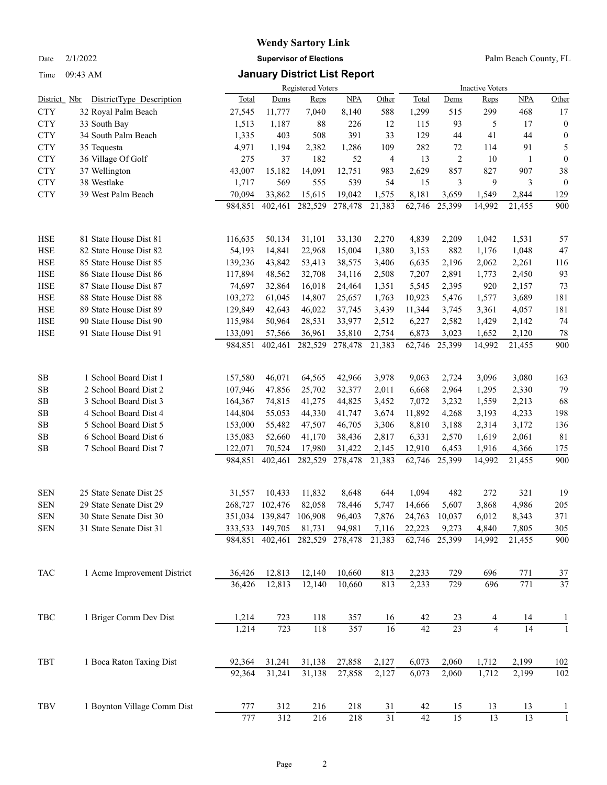Time 09:43 AM **January District List Report**

### **Wendy Sartory Link** Date 2/1/2022 **Supervisor of Elections** Palm Beach County, FL

|                |                             |         |                                 | Registered Voters |                  |                 |        |                 | <b>Inactive Voters</b> |              |                  |
|----------------|-----------------------------|---------|---------------------------------|-------------------|------------------|-----------------|--------|-----------------|------------------------|--------------|------------------|
| District Nbr   | DistrictType Description    | Total   | Dems                            | Reps              | NPA              | Other           | Total  | Dems            | Reps                   | NPA          | Other            |
| <b>CTY</b>     | 32 Royal Palm Beach         | 27,545  | 11,777                          | 7,040             | 8,140            | 588             | 1,299  | 515             | 299                    | 468          | 17               |
| <b>CTY</b>     | 33 South Bay                | 1,513   | 1,187                           | 88                | 226              | 12              | 115    | 93              | 5                      | 17           | $\boldsymbol{0}$ |
| <b>CTY</b>     | 34 South Palm Beach         | 1,335   | 403                             | 508               | 391              | 33              | 129    | 44              | 41                     | 44           | $\boldsymbol{0}$ |
| <b>CTY</b>     | 35 Tequesta                 | 4,971   | 1,194                           | 2,382             | 1,286            | 109             | 282    | 72              | 114                    | 91           | 5                |
| <b>CTY</b>     | 36 Village Of Golf          | 275     | 37                              | 182               | 52               | $\overline{4}$  | 13     | $\overline{2}$  | 10                     | $\mathbf{1}$ | $\boldsymbol{0}$ |
| <b>CTY</b>     | 37 Wellington               | 43,007  | 15,182                          | 14,091            | 12,751           | 983             | 2,629  | 857             | 827                    | 907          | 38               |
| <b>CTY</b>     | 38 Westlake                 | 1,717   | 569                             | 555               | 539              | 54              | 15     | 3               | 9                      | 3            | $\mathbf{0}$     |
| <b>CTY</b>     | 39 West Palm Beach          | 70,094  | 33,862                          | 15,615            | 19,042           | 1,575           | 8,181  | 3.659           | 1,549                  | 2,844        | 129              |
|                |                             | 984,851 | 402,461                         | 282,529           | 278,478          | 21,383          | 62,746 | 25,399          | 14.992                 | 21,455       | 900              |
| <b>HSE</b>     | 81 State House Dist 81      | 116,635 | 50,134                          | 31,101            | 33,130           | 2,270           | 4,839  | 2,209           | 1,042                  | 1,531        | 57               |
| <b>HSE</b>     | 82 State House Dist 82      | 54,193  | 14,841                          | 22,968            | 15,004           | 1,380           | 3,153  | 882             | 1,176                  | 1,048        | 47               |
| <b>HSE</b>     | 85 State House Dist 85      | 139,236 | 43,842                          | 53,413            | 38,575           | 3,406           | 6,635  | 2,196           | 2,062                  | 2,261        | 116              |
| <b>HSE</b>     | 86 State House Dist 86      | 117,894 | 48,562                          | 32,708            | 34,116           | 2,508           | 7,207  | 2,891           | 1,773                  | 2,450        | 93               |
| <b>HSE</b>     | 87 State House Dist 87      | 74,697  | 32,864                          | 16,018            | 24,464           | 1,351           | 5,545  | 2,395           | 920                    | 2,157        | 73               |
| <b>HSE</b>     | 88 State House Dist 88      | 103,272 | 61,045                          | 14,807            | 25,657           | 1,763           | 10,923 | 5,476           | 1,577                  | 3,689        | 181              |
| HSE            | 89 State House Dist 89      | 129,849 | 42,643                          | 46,022            | 37,745           | 3,439           | 11,344 | 3,745           | 3,361                  | 4,057        | 181              |
| <b>HSE</b>     | 90 State House Dist 90      | 115,984 | 50,964                          | 28,531            | 33,977           | 2,512           | 6,227  | 2,582           | 1,429                  | 2,142        | 74               |
| HSE            | 91 State House Dist 91      | 133,091 | 57,566                          | 36,961            | 35,810           | 2,754           | 6,873  | 3,023           | 1,652                  | 2,120        | 78               |
|                |                             | 984,851 | 402,461                         | 282,529           | 278,478          | 21,383          | 62,746 | 25,399          | 14,992                 | 21,455       | 900              |
| <b>SB</b>      | 1 School Board Dist 1       | 157,580 | 46,071                          | 64,565            | 42,966           | 3,978           | 9,063  | 2,724           | 3,096                  | 3,080        | 163              |
| $\rm SB$       | 2 School Board Dist 2       | 107,946 | 47,856                          | 25,702            | 32,377           | 2,011           | 6,668  | 2,964           | 1,295                  | 2,330        | 79               |
| <b>SB</b>      | 3 School Board Dist 3       | 164,367 | 74,815                          | 41,275            | 44,825           | 3,452           | 7,072  | 3,232           | 1,559                  | 2,213        | 68               |
| <b>SB</b>      | 4 School Board Dist 4       | 144,804 | 55,053                          | 44,330            | 41,747           | 3,674           | 11,892 | 4,268           | 3,193                  | 4,233        | 198              |
| SB             | 5 School Board Dist 5       | 153,000 | 55,482                          | 47,507            | 46,705           | 3,306           | 8,810  | 3,188           | 2,314                  | 3,172        | 136              |
| <b>SB</b>      | 6 School Board Dist 6       | 135,083 | 52,660                          | 41,170            | 38,436           | 2,817           | 6,331  | 2,570           | 1,619                  | 2,061        | 81               |
| $\rm SB$       | 7 School Board Dist 7       | 122,071 | 70,524                          | 17,980            | 31,422           | 2,145           | 12,910 | 6,453           | 1,916                  | 4,366        | 175              |
|                |                             | 984,851 | 402,461                         | 282,529           | 278,478          | 21,383          | 62,746 | 25,399          | 14,992                 | 21,455       | 900              |
| <b>SEN</b>     | 25 State Senate Dist 25     | 31,557  | 10,433                          | 11,832            | 8,648            | 644             | 1,094  | 482             | 272                    | 321          | 19               |
| <b>SEN</b>     | 29 State Senate Dist 29     | 268,727 | 102,476                         | 82,058            | 78,446           | 5,747           | 14,666 | 5,607           | 3,868                  | 4,986        | 205              |
| <b>SEN</b>     | 30 State Senate Dist 30     |         | 351,034 139,847 106,908         |                   | 96,403           | 7,876           | 24,763 | 10,037          | 6,012                  | 8,343        | 371              |
| ${\hbox{SEN}}$ | 31 State Senate Dist 31     |         | 333,533 149,705                 | 81,731            | 94,981           | 7,116           | 22,223 | 9,273           | 4,840                  | 7,805        | 305              |
|                |                             |         | 984,851 402,461 282,529 278,478 |                   |                  | 21,383          | 62,746 | 25,399          | 14,992                 | 21,455       | 900              |
| TAC            | 1 Acme Improvement District | 36,426  | 12,813                          | 12,140            | 10,660           | 813             | 2,233  | 729             | 696                    | 771          | 37               |
|                |                             | 36,426  | 12,813                          | 12,140            | 10,660           | 813             | 2,233  | 729             | 696                    | 771          | 37               |
| TBC            | 1 Briger Comm Dev Dist      | 1,214   | 723                             | 118               | 357              | 16              | 42     | 23              | 4                      | 14           |                  |
|                |                             | 1,214   | $\overline{723}$                | 118               | $\overline{357}$ | 16              | 42     | $\overline{23}$ | $\overline{4}$         | 14           |                  |
| TBT            | 1 Boca Raton Taxing Dist    | 92,364  | 31,241                          | 31,138            | 27,858           | 2,127           | 6,073  | 2,060           | 1,712                  | 2,199        | 102              |
|                |                             | 92,364  | 31,241                          | 31,138            | 27,858           | 2,127           | 6,073  | 2,060           | 1,712                  | 2,199        | 102              |
| TBV            | 1 Boynton Village Comm Dist | 777     | 312                             | 216               | 218              | 31              | 42     | 15              | 13                     | 13           |                  |
|                |                             | $777\,$ | 312                             | 216               | 218              | $\overline{31}$ | 42     | 15              | 13                     | 13           |                  |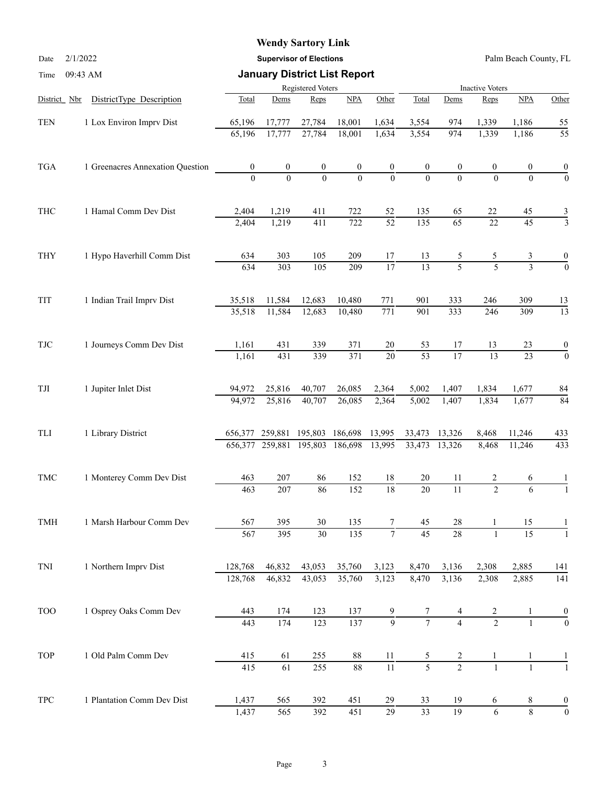#### **Wendy Sartory Link**

Date 2/1/2022 **Supervisor of Elections** Palm Beach County, FL

| Time                     | 09:43 AM                         |                  | <b>January District List Report</b> |                   |                     |                  |                        |                  |                  |                    |                                                                                                                                                                                                                                                                  |  |
|--------------------------|----------------------------------|------------------|-------------------------------------|-------------------|---------------------|------------------|------------------------|------------------|------------------|--------------------|------------------------------------------------------------------------------------------------------------------------------------------------------------------------------------------------------------------------------------------------------------------|--|
|                          |                                  |                  |                                     | Registered Voters |                     |                  | <b>Inactive Voters</b> |                  |                  |                    |                                                                                                                                                                                                                                                                  |  |
| District Nbr             | DistrictType Description         | Total            | Dems                                | Reps              | NPA                 | Other            | Total                  | Dems             | Reps             | NPA                | Other                                                                                                                                                                                                                                                            |  |
| <b>TEN</b>               | 1 Lox Environ Imprv Dist         | 65,196           | 17,777                              | 27,784            | 18,001              | 1,634            | 3,554                  | 974              | 1,339            | 1,186              |                                                                                                                                                                                                                                                                  |  |
|                          |                                  | 65,196           | 17,777                              | 27,784            | 18,001              | 1,634            | 3,554                  | 974              | 1,339            | 1,186              | $\overline{55}$                                                                                                                                                                                                                                                  |  |
| <b>TGA</b>               | 1 Greenacres Annexation Question | $\boldsymbol{0}$ | $\boldsymbol{0}$                    | $\boldsymbol{0}$  | $\boldsymbol{0}$    | $\boldsymbol{0}$ | $\boldsymbol{0}$       | $\boldsymbol{0}$ | $\boldsymbol{0}$ | 0                  | $\boldsymbol{0}$                                                                                                                                                                                                                                                 |  |
|                          |                                  | $\theta$         | $\theta$                            | $\theta$          | $\Omega$            | $\mathbf{0}$     | $\Omega$               | $\Omega$         | $\theta$         | $\Omega$           | $\overline{0}$                                                                                                                                                                                                                                                   |  |
| THC                      | 1 Hamal Comm Dev Dist            | 2,404            | 1,219                               | 411               | 722                 | 52               | 135                    | 65               | 22               | 45                 |                                                                                                                                                                                                                                                                  |  |
|                          |                                  | 2,404            | 1,219                               | 411               | 722                 | $\overline{52}$  | 135                    | $\overline{65}$  | 22               |                    |                                                                                                                                                                                                                                                                  |  |
| THY                      | 1 Hypo Haverhill Comm Dist       | 634              | 303                                 | 105               | 209                 | 17               | 13                     | 5                | 5                | 3                  | 0                                                                                                                                                                                                                                                                |  |
|                          |                                  | 634              | 303                                 | 105               | 209                 | $\overline{17}$  | $\overline{13}$        | $\overline{5}$   | $\overline{5}$   |                    | <u>55</u><br>$\frac{3}{3}$<br>$\overline{45}$<br>$\overline{3}$<br>$\overline{0}$<br>13<br>$\overline{13}$<br>$\boldsymbol{0}$<br>$\overline{23}$<br>$\overline{0}$<br>84<br>84<br>433<br>433<br>6<br>6<br>1<br>141<br>141<br>$\frac{0}{0}$<br>1<br>$\mathbf{1}$ |  |
| TIT                      | 1 Indian Trail Imprv Dist        | 35,518           | 11,584                              | 12,683            | 10,480              | 771              | 901                    | 333              | 246              | 309                |                                                                                                                                                                                                                                                                  |  |
|                          |                                  | 35,518           | 11,584                              | 12,683            | 10,480              | $\overline{771}$ | 901                    | 333              | 246              | 309                |                                                                                                                                                                                                                                                                  |  |
| $\ensuremath{{\rm TJC}}$ | 1 Journeys Comm Dev Dist         | 1,161            | 431                                 | 339               | 371                 | $20\,$           | 53                     | 17               | 13               | 23                 |                                                                                                                                                                                                                                                                  |  |
|                          |                                  | 1,161            | 431                                 | 339               | 371                 | $\overline{20}$  | $\overline{53}$        | $\overline{17}$  | $\overline{13}$  |                    |                                                                                                                                                                                                                                                                  |  |
| TJI                      | 1 Jupiter Inlet Dist             | 94,972           | 25,816                              | 40,707            | 26,085              | 2,364            | 5,002                  | 1,407            | 1,834            | 1,677              |                                                                                                                                                                                                                                                                  |  |
|                          |                                  | 94,972           | 25,816                              | 40,707            | 26,085              | 2,364            | 5,002                  | 1,407            | 1,834            | 1,677              |                                                                                                                                                                                                                                                                  |  |
| TLI                      | 1 Library District               | 656,377          | 259,881                             | 195,803           | 186,698             | 13,995           | 33,473                 | 13,326           | 8,468            | 11,246             |                                                                                                                                                                                                                                                                  |  |
|                          |                                  |                  | 656,377 259,881                     | 195,803           | 186,698             | 13,995           | 33,473                 | 13,326           | 8,468            | 11,246             |                                                                                                                                                                                                                                                                  |  |
| <b>TMC</b>               | 1 Monterey Comm Dev Dist         | 463              | 207                                 | 86                | 152                 | 18               | 20                     | 11               | 2                |                    |                                                                                                                                                                                                                                                                  |  |
|                          |                                  | 463              | 207                                 | 86                | 152                 | $\overline{18}$  | 20                     | $\overline{11}$  | $\overline{2}$   |                    |                                                                                                                                                                                                                                                                  |  |
| TMH                      | 1 Marsh Harbour Comm Dev         | 567              | 395                                 | 30                | 135                 | 7                | 45                     | 28               |                  | 15                 |                                                                                                                                                                                                                                                                  |  |
|                          |                                  | 567              | 395                                 | $30\,$            | 135                 | $\tau$           | $\overline{45}$        | $\overline{28}$  | $\mathbf{1}$     | 15                 |                                                                                                                                                                                                                                                                  |  |
| TNI                      | 1 Northern Imprv Dist            | 128,768          | 46,832                              | 43,053            | 35,760              | 3,123            | 8,470                  | 3,136            | 2,308            | 2,885              |                                                                                                                                                                                                                                                                  |  |
|                          |                                  | 128,768          | 46,832                              | 43,053            | 35,760              | 3,123            | 8,470                  | 3,136            | 2,308            | 2,885              |                                                                                                                                                                                                                                                                  |  |
| <b>TOO</b>               | 1 Osprey Oaks Comm Dev           | 443              | 174                                 | 123               | 137                 | 9                |                        |                  | $rac{2}{2}$      |                    |                                                                                                                                                                                                                                                                  |  |
|                          |                                  | 443              | 174                                 | $\overline{123}$  | 137                 | $\overline{9}$   | $\overline{7}$         | $\overline{4}$   |                  |                    |                                                                                                                                                                                                                                                                  |  |
| TOP                      | 1 Old Palm Comm Dev              | 415              | 61                                  | 255               | 88                  | 11               | 5                      | $\overline{c}$   | 1                |                    |                                                                                                                                                                                                                                                                  |  |
|                          |                                  | 415              | $\overline{61}$                     | 255               | $\overline{\bf 88}$ | $\overline{11}$  | $\overline{5}$         | $\overline{2}$   | $\mathbf{1}$     |                    |                                                                                                                                                                                                                                                                  |  |
| <b>TPC</b>               | 1 Plantation Comm Dev Dist       | 1,437            | 565                                 | 392               | 451                 | 29               | 33                     | 19               | 6                | 8                  | $\boldsymbol{0}$                                                                                                                                                                                                                                                 |  |
|                          |                                  | 1,437            | 565                                 | 392               | 451                 | $\overline{29}$  | 33                     | 19               | $\sqrt{6}$       | $\overline{\bf 8}$ | $\boldsymbol{0}$                                                                                                                                                                                                                                                 |  |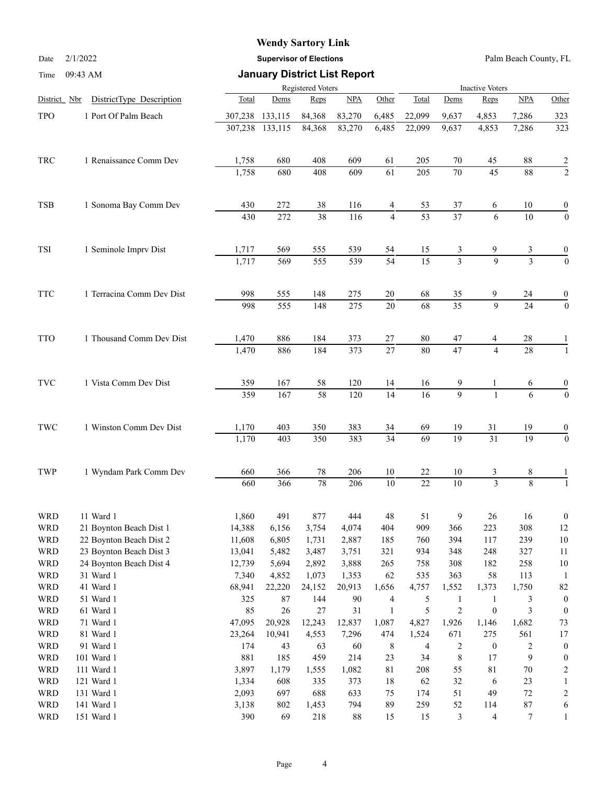# **Wendy Sartory Link**

Date 2/1/2022 **Supervisor of Elections** Palm Beach County, FL

| Time                     | 09:43 AM                  |              | <b>January District List Report</b> |                 |                        |                 |                 |                            |                                 |                 |                  |
|--------------------------|---------------------------|--------------|-------------------------------------|-----------------|------------------------|-----------------|-----------------|----------------------------|---------------------------------|-----------------|------------------|
|                          |                           |              | Registered Voters                   |                 | <b>Inactive Voters</b> |                 |                 |                            |                                 |                 |                  |
| District Nbr             | DistrictType Description  | Total        | Dems                                | Reps            | NPA                    | Other           | Total           | Dems                       | Reps                            | NPA             | Other            |
| <b>TPO</b>               | 1 Port Of Palm Beach      | 307,238      | 133,115                             | 84,368          | 83,270                 | 6,485           | 22,099          | 9,637                      | 4,853                           | 7,286           | 323              |
|                          |                           | 307,238      | 133,115                             | 84,368          | 83,270                 | 6,485           | 22,099          | 9,637                      | 4,853                           | 7,286           | 323              |
| TRC                      | 1 Renaissance Comm Dev    | 1,758        | 680                                 | 408             | 609                    | 61              | 205             | 70                         | 45                              | 88              |                  |
|                          |                           | 1,758        | 680                                 | 408             | 609                    | 61              | 205             | 70                         | $\overline{45}$                 | $\overline{88}$ | $\frac{2}{2}$    |
| <b>TSB</b>               | 1 Sonoma Bay Comm Dev     | 430          | 272                                 | 38              | 116                    | 4               | 53              | 37                         | 6                               | 10              | $\boldsymbol{0}$ |
|                          |                           | 430          | 272                                 | $\overline{38}$ | 116                    | $\overline{4}$  | $\overline{53}$ | $\overline{37}$            | 6                               | $\overline{10}$ | $\boldsymbol{0}$ |
| <b>TSI</b>               | 1 Seminole Imprv Dist     | 1,717        | 569                                 | 555             | 539                    | 54              | 15              | 3                          | 9                               | 3               | $\frac{0}{0}$    |
|                          |                           | 1,717        | 569                                 | 555             | 539                    | $\overline{54}$ | $\overline{15}$ | $\overline{3}$             | $\mathbf{Q}$                    | $\overline{3}$  |                  |
| <b>TTC</b>               | 1 Terracina Comm Dev Dist | 998          | 555                                 | 148             | 275                    | 20              | 68              | 35                         | 9                               | 24              | $\boldsymbol{0}$ |
|                          |                           | 998          | 555                                 | 148             | 275                    | 20              | $\overline{68}$ | $\overline{35}$            | $\overline{9}$                  | $\overline{24}$ | $\boldsymbol{0}$ |
| <b>TTO</b>               | 1 Thousand Comm Dev Dist  | 1,470        | 886                                 | 184             | 373                    | 27              | 80              | 47                         | 4                               | 28              |                  |
|                          |                           | 1,470        | 886                                 | 184             | 373                    | 27              | 80              | 47                         | $\overline{4}$                  | 28              | $\mathbf{1}$     |
| <b>TVC</b>               | 1 Vista Comm Dev Dist     | 359          | 167                                 | 58              | 120                    | 14              | 16              | 9                          | 1                               | 6               | $\boldsymbol{0}$ |
|                          |                           | 359          | 167                                 | 58              | 120                    | $\overline{14}$ | 16              | $\overline{9}$             | $\mathbf{1}$                    | 6               | $\boldsymbol{0}$ |
| TWC                      | 1 Winston Comm Dev Dist   | 1,170        | 403                                 | 350             | 383                    | 34              | 69              | 19                         | 31                              | 19              | $\boldsymbol{0}$ |
|                          |                           | 1,170        | 403                                 | 350             | 383                    | $\overline{34}$ | $\overline{69}$ | 19                         | $\overline{31}$                 | $\overline{19}$ | $\overline{0}$   |
| TWP                      | 1 Wyndam Park Comm Dev    | 660          | 366                                 | 78              | 206                    | 10              | 22              | 10                         | 3                               | 8               |                  |
|                          |                           | 660          | 366                                 | 78              | 206                    | 10              | $\overline{22}$ | $\overline{10}$            | $\overline{3}$                  | $\overline{8}$  | $\mathbf{1}$     |
| <b>WRD</b>               | 11 Ward 1                 | 1,860        | 491                                 | 877             | 444                    | $\sqrt{48}$     | 51              | 9                          | 26                              | 16              | $\boldsymbol{0}$ |
| <b>WRD</b>               | 21 Boynton Beach Dist 1   | 14,388       | 6,156                               | 3,754           | 4,074                  | 404             | 909             | 366                        | 223                             | 308             | 12               |
| <b>WRD</b>               | 22 Boynton Beach Dist 2   | 11,608       | 6,805                               | 1,731           | 2,887                  | 185             | 760             | 394                        | 117                             | 239             | $10\,$           |
| <b>WRD</b>               | 23 Boynton Beach Dist 3   | 13,041       | 5,482                               | 3,487           | 3,751                  | 321             | 934             | 348                        | 248                             | 327             | 11               |
| <b>WRD</b>               | 24 Boynton Beach Dist 4   | 12,739       | 5,694                               | 2,892           | 3,888                  | 265             | 758             | 308                        | 182                             | 258             | $10\,$           |
| <b>WRD</b>               | 31 Ward 1                 | 7,340        | 4,852                               | 1,073           | 1,353                  | 62              | 535             | 363                        | 58                              | 113             | 1                |
| <b>WRD</b>               | 41 Ward 1                 | 68,941       | 22,220                              | 24,152          | 20,913                 | 1,656           | 4,757           | 1,552                      | 1,373                           | 1,750           | $82\,$           |
| <b>WRD</b>               | 51 Ward 1                 | 325          | 87                                  | 144             | 90                     | $\overline{4}$  | 5               | $\mathbf{1}$<br>$\sqrt{2}$ | $\mathbf{1}$                    | 3               | $\boldsymbol{0}$ |
| <b>WRD</b>               | 61 Ward 1                 | 85           | 26                                  | 27              | 31                     | $\mathbf{1}$    | 5               |                            | $\boldsymbol{0}$                | 3               | $\mathbf{0}$     |
| <b>WRD</b>               | 71 Ward 1                 | 47,095       | 20,928                              | 12,243          | 12,837                 | 1,087           | 4,827           | 1,926                      | 1,146                           | 1,682           | $73\,$           |
| <b>WRD</b>               | 81 Ward 1                 | 23,264       | 10,941                              | 4,553           | 7,296                  | 474             | 1,524           | 671                        | 275                             | 561             | 17               |
| <b>WRD</b>               | 91 Ward 1                 | 174          | 43                                  | 63              | 60                     | 8               | 4               | $\overline{c}$             | $\boldsymbol{0}$                | $\overline{c}$  | $\boldsymbol{0}$ |
| <b>WRD</b>               | 101 Ward 1                | 881          | 185                                 | 459             | 214                    | 23              | 34              | $\,$ $\,$                  | 17                              | 9               | 0                |
| <b>WRD</b><br><b>WRD</b> | 111 Ward 1                | 3,897        | 1,179                               | 1,555           | 1,082                  | $8\sqrt{1}$     | 208             | 55<br>32                   | $81\,$                          | 70<br>23        | 2                |
| <b>WRD</b>               | 121 Ward 1<br>131 Ward 1  | 1,334        | 608                                 | 335             | 373                    | 18<br>75        | 62              | 51                         | 6<br>49                         | $72\,$          | 1                |
| <b>WRD</b>               | 141 Ward 1                | 2,093        | 697                                 | 688             | 633<br>794             | 89              | 174<br>259      | 52                         |                                 | $87\,$          | 2                |
| <b>WRD</b>               | 151 Ward 1                | 3,138<br>390 | 802<br>69                           | 1,453<br>218    | $88\,$                 | 15              | 15              | 3                          | 114<br>$\overline{\mathcal{A}}$ | 7               | 6<br>1           |
|                          |                           |              |                                     |                 |                        |                 |                 |                            |                                 |                 |                  |